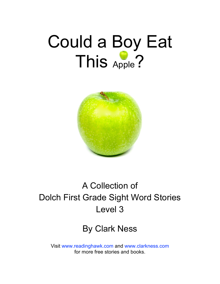# Could a Boy Eat This Apple?



### A Collection of Dolch First Grade Sight Word Stories Level 3

#### By Clark Ness

Visit [www.readinghawk.com](http://www.readinghawk.com) and [www.clarkness.com](http://www.clarkness.com) for more free stories and books.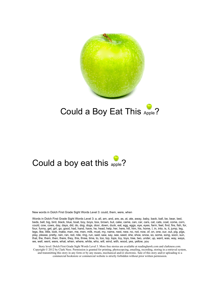

#### Could a Boy Eat This Apple?

#### Could a boy eat this apple?

New words in Dolch First Grade Sight Words Level 3: could, them, were, when

Words in Dolch First Grade Sight Words Level 3: a, all, am, and, are, as, at, ate, away, baby, back, ball, be, bear, bed, beds, bell, big, bird, black, blue, boat, boy, boys, box, brown, but, cake, came, can, car, cars, cat, cats, coat, come, corn, could, cow, cows, day, days, did, do, dog, dogs, door, down, duck, eat, egg, eggs, eye, eyes, farm, feet, find, fire, fish, for, four, funny, get, girl, go, good, had, hand, have, he, head, help, her, here, hill, him, his, home, I, in, into, is, it, jump, leg, legs, like, little, look, make, man, me, men, milk, must, my, name, nest, new, no, not, now, of, on, one, our, out, pig, pigs, play, please, pretty, rain, ran, red, ride, ring, run, said, saw, say, see, seed, she, shoe, snow, so, some, song, soon, sun, that, the, them, then, there, they, this, three, time, to, too, top, tops, toy, toys, tree, two, under, up, want, was, way, ways, we, well, went, were, what, when, where, white, who, will, wind, with, wood, yes, yellow, you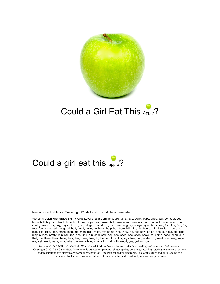

#### Could a Girl Eat This Apple?

#### Could a girl eat this apple?

New words in Dolch First Grade Sight Words Level 3: could, them, were, when

Words in Dolch First Grade Sight Words Level 3: a, all, am, and, are, as, at, ate, away, baby, back, ball, be, bear, bed, beds, bell, big, bird, black, blue, boat, boy, boys, box, brown, but, cake, came, can, car, cars, cat, cats, coat, come, corn, could, cow, cows, day, days, did, do, dog, dogs, door, down, duck, eat, egg, eggs, eye, eyes, farm, feet, find, fire, fish, for, four, funny, get, girl, go, good, had, hand, have, he, head, help, her, here, hill, him, his, home, I, in, into, is, it, jump, leg, legs, like, little, look, make, man, me, men, milk, must, my, name, nest, new, no, not, now, of, on, one, our, out, pig, pigs, play, please, pretty, rain, ran, red, ride, ring, run, said, saw, say, see, seed, she, shoe, snow, so, some, song, soon, sun, that, the, them, then, there, they, this, three, time, to, too, top, tops, toy, toys, tree, two, under, up, want, was, way, ways, we, well, went, were, what, when, where, white, who, will, wind, with, wood, yes, yellow, you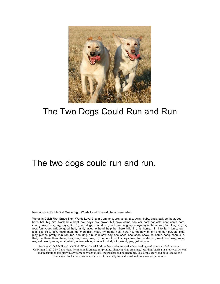

#### The Two Dogs Could Run and Run

#### The two dogs could run and run.

New words in Dolch First Grade Sight Words Level 3: could, them, were, when

Words in Dolch First Grade Sight Words Level 3: a, all, am, and, are, as, at, ate, away, baby, back, ball, be, bear, bed, beds, bell, big, bird, black, blue, boat, boy, boys, box, brown, but, cake, came, can, car, cars, cat, cats, coat, come, corn, could, cow, cows, day, days, did, do, dog, dogs, door, down, duck, eat, egg, eggs, eye, eyes, farm, feet, find, fire, fish, for, four, funny, get, girl, go, good, had, hand, have, he, head, help, her, here, hill, him, his, home, I, in, into, is, it, jump, leg, legs, like, little, look, make, man, me, men, milk, must, my, name, nest, new, no, not, now, of, on, one, our, out, pig, pigs, play, please, pretty, rain, ran, red, ride, ring, run, said, saw, say, see, seed, she, shoe, snow, so, some, song, soon, sun, that, the, them, then, there, they, this, three, time, to, too, top, tops, toy, toys, tree, two, under, up, want, was, way, ways, we, well, went, were, what, when, where, white, who, will, wind, with, wood, yes, yellow, you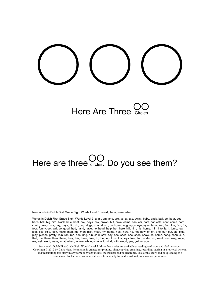

### Here Are Three  $\sum_{\text{circ}}$

# Here are three  $\text{CO}$  Do you see them?

New words in Dolch First Grade Sight Words Level 3: could, them, were, when

Words in Dolch First Grade Sight Words Level 3: a, all, am, and, are, as, at, ate, away, baby, back, ball, be, bear, bed, beds, bell, big, bird, black, blue, boat, boy, boys, box, brown, but, cake, came, can, car, cars, cat, cats, coat, come, corn, could, cow, cows, day, days, did, do, dog, dogs, door, down, duck, eat, egg, eggs, eye, eyes, farm, feet, find, fire, fish, for, four, funny, get, girl, go, good, had, hand, have, he, head, help, her, here, hill, him, his, home, I, in, into, is, it, jump, leg, legs, like, little, look, make, man, me, men, milk, must, my, name, nest, new, no, not, now, of, on, one, our, out, pig, pigs, play, please, pretty, rain, ran, red, ride, ring, run, said, saw, say, see, seed, she, shoe, snow, so, some, song, soon, sun, that, the, them, then, there, they, this, three, time, to, too, top, tops, toy, toys, tree, two, under, up, want, was, way, ways, we, well, went, were, what, when, where, white, who, will, wind, with, wood, yes, yellow, you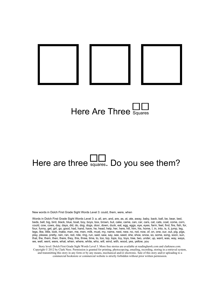



### Here are three  $\Box$  Do you see them?

New words in Dolch First Grade Sight Words Level 3: could, them, were, when

Words in Dolch First Grade Sight Words Level 3: a, all, am, and, are, as, at, ate, away, baby, back, ball, be, bear, bed, beds, bell, big, bird, black, blue, boat, boy, boys, box, brown, but, cake, came, can, car, cars, cat, cats, coat, come, corn, could, cow, cows, day, days, did, do, dog, dogs, door, down, duck, eat, egg, eggs, eye, eyes, farm, feet, find, fire, fish, for, four, funny, get, girl, go, good, had, hand, have, he, head, help, her, here, hill, him, his, home, I, in, into, is, it, jump, leg, legs, like, little, look, make, man, me, men, milk, must, my, name, nest, new, no, not, now, of, on, one, our, out, pig, pigs, play, please, pretty, rain, ran, red, ride, ring, run, said, saw, say, see, seed, she, shoe, snow, so, some, song, soon, sun, that, the, them, then, there, they, this, three, time, to, too, top, tops, toy, toys, tree, two, under, up, want, was, way, ways, we, well, went, were, what, when, where, white, who, will, wind, with, wood, yes, yellow, you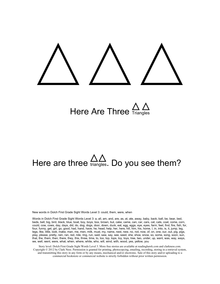Here Are Three  $\frac{\triangle}{\triangle}$ 

# Here are three  $\frac{\triangle \triangle}{\triangle}$ . Do you see them?

New words in Dolch First Grade Sight Words Level 3: could, them, were, when

Words in Dolch First Grade Sight Words Level 3: a, all, am, and, are, as, at, ate, away, baby, back, ball, be, bear, bed, beds, bell, big, bird, black, blue, boat, boy, boys, box, brown, but, cake, came, can, car, cars, cat, cats, coat, come, corn, could, cow, cows, day, days, did, do, dog, dogs, door, down, duck, eat, egg, eggs, eye, eyes, farm, feet, find, fire, fish, for, four, funny, get, girl, go, good, had, hand, have, he, head, help, her, here, hill, him, his, home, I, in, into, is, it, jump, leg, legs, like, little, look, make, man, me, men, milk, must, my, name, nest, new, no, not, now, of, on, one, our, out, pig, pigs, play, please, pretty, rain, ran, red, ride, ring, run, said, saw, say, see, seed, she, shoe, snow, so, some, song, soon, sun, that, the, them, then, there, they, this, three, time, to, too, top, tops, toy, toys, tree, two, under, up, want, was, way, ways, we, well, went, were, what, when, where, white, who, will, wind, with, wood, yes, yellow, you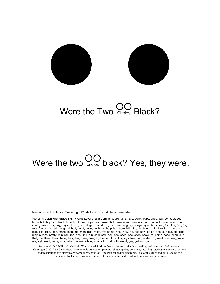

### Were the Two Circles Black?

# Were the two  $\bigcup_{\text{circles}}$  black? Yes, they were.

New words in Dolch First Grade Sight Words Level 3: could, them, were, when

Words in Dolch First Grade Sight Words Level 3: a, all, am, and, are, as, at, ate, away, baby, back, ball, be, bear, bed, beds, bell, big, bird, black, blue, boat, boy, boys, box, brown, but, cake, came, can, car, cars, cat, cats, coat, come, corn, could, cow, cows, day, days, did, do, dog, dogs, door, down, duck, eat, egg, eggs, eye, eyes, farm, feet, find, fire, fish, for, four, funny, get, girl, go, good, had, hand, have, he, head, help, her, here, hill, him, his, home, I, in, into, is, it, jump, leg, legs, like, little, look, make, man, me, men, milk, must, my, name, nest, new, no, not, now, of, on, one, our, out, pig, pigs, play, please, pretty, rain, ran, red, ride, ring, run, said, saw, say, see, seed, she, shoe, snow, so, some, song, soon, sun, that, the, them, then, there, they, this, three, time, to, too, top, tops, toy, toys, tree, two, under, up, want, was, way, ways, we, well, went, were, what, when, where, white, who, will, wind, with, wood, yes, yellow, you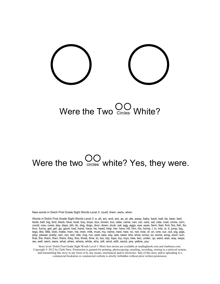

### Were the Two  $\bigcirc_{\text{circles}}$  White?

# Were the two  $\bigcirc_{\text{circles}}$  white? Yes, they were.

New words in Dolch First Grade Sight Words Level 3: could, them, were, when

Words in Dolch First Grade Sight Words Level 3: a, all, am, and, are, as, at, ate, away, baby, back, ball, be, bear, bed, beds, bell, big, bird, black, blue, boat, boy, boys, box, brown, but, cake, came, can, car, cars, cat, cats, coat, come, corn, could, cow, cows, day, days, did, do, dog, dogs, door, down, duck, eat, egg, eggs, eye, eyes, farm, feet, find, fire, fish, for, four, funny, get, girl, go, good, had, hand, have, he, head, help, her, here, hill, him, his, home, I, in, into, is, it, jump, leg, legs, like, little, look, make, man, me, men, milk, must, my, name, nest, new, no, not, now, of, on, one, our, out, pig, pigs, play, please, pretty, rain, ran, red, ride, ring, run, said, saw, say, see, seed, she, shoe, snow, so, some, song, soon, sun, that, the, them, then, there, they, this, three, time, to, too, top, tops, toy, toys, tree, two, under, up, want, was, way, ways, we, well, went, were, what, when, where, white, who, will, wind, with, wood, yes, yellow, you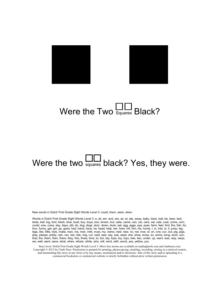



### Were the Two  $\frac{11}{2}$  Black?

### Were the two  $\Box$  black? Yes, they were.

New words in Dolch First Grade Sight Words Level 3: could, them, were, when

Words in Dolch First Grade Sight Words Level 3: a, all, am, and, are, as, at, ate, away, baby, back, ball, be, bear, bed, beds, bell, big, bird, black, blue, boat, boy, boys, box, brown, but, cake, came, can, car, cars, cat, cats, coat, come, corn, could, cow, cows, day, days, did, do, dog, dogs, door, down, duck, eat, egg, eggs, eye, eyes, farm, feet, find, fire, fish, for, four, funny, get, girl, go, good, had, hand, have, he, head, help, her, here, hill, him, his, home, I, in, into, is, it, jump, leg, legs, like, little, look, make, man, me, men, milk, must, my, name, nest, new, no, not, now, of, on, one, our, out, pig, pigs, play, please, pretty, rain, ran, red, ride, ring, run, said, saw, say, see, seed, she, shoe, snow, so, some, song, soon, sun, that, the, them, then, there, they, this, three, time, to, too, top, tops, toy, toys, tree, two, under, up, want, was, way, ways, we, well, went, were, what, when, where, white, who, will, wind, with, wood, yes, yellow, you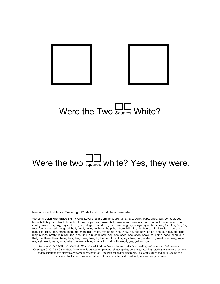

### Were the Two  $\frac{11}{\text{Squares}}$  White?

# Were the two squares white? Yes, they were.

New words in Dolch First Grade Sight Words Level 3: could, them, were, when

Words in Dolch First Grade Sight Words Level 3: a, all, am, and, are, as, at, ate, away, baby, back, ball, be, bear, bed, beds, bell, big, bird, black, blue, boat, boy, boys, box, brown, but, cake, came, can, car, cars, cat, cats, coat, come, corn, could, cow, cows, day, days, did, do, dog, dogs, door, down, duck, eat, egg, eggs, eye, eyes, farm, feet, find, fire, fish, for, four, funny, get, girl, go, good, had, hand, have, he, head, help, her, here, hill, him, his, home, I, in, into, is, it, jump, leg, legs, like, little, look, make, man, me, men, milk, must, my, name, nest, new, no, not, now, of, on, one, our, out, pig, pigs, play, please, pretty, rain, ran, red, ride, ring, run, said, saw, say, see, seed, she, shoe, snow, so, some, song, soon, sun, that, the, them, then, there, they, this, three, time, to, too, top, tops, toy, toys, tree, two, under, up, want, was, way, ways, we, well, went, were, what, when, where, white, who, will, wind, with, wood, yes, yellow, you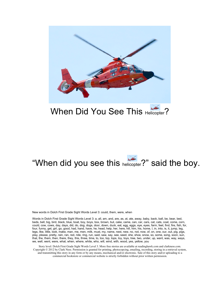

#### When Did You See This Helicopter?

#### "When did you see this helicopter?" said the boy.

New words in Dolch First Grade Sight Words Level 3: could, them, were, when

Words in Dolch First Grade Sight Words Level 3: a, all, am, and, are, as, at, ate, away, baby, back, ball, be, bear, bed, beds, bell, big, bird, black, blue, boat, boy, boys, box, brown, but, cake, came, can, car, cars, cat, cats, coat, come, corn, could, cow, cows, day, days, did, do, dog, dogs, door, down, duck, eat, egg, eggs, eye, eyes, farm, feet, find, fire, fish, for, four, funny, get, girl, go, good, had, hand, have, he, head, help, her, here, hill, him, his, home, I, in, into, is, it, jump, leg, legs, like, little, look, make, man, me, men, milk, must, my, name, nest, new, no, not, now, of, on, one, our, out, pig, pigs, play, please, pretty, rain, ran, red, ride, ring, run, said, saw, say, see, seed, she, shoe, snow, so, some, song, soon, sun, that, the, them, then, there, they, this, three, time, to, too, top, tops, toy, toys, tree, two, under, up, want, was, way, ways, we, well, went, were, what, when, where, white, who, will, wind, with, wood, yes, yellow, you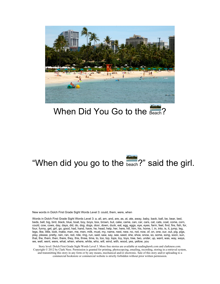

#### When Did You Go to the Beach?

### "When did you go to the beach?" said the girl.

New words in Dolch First Grade Sight Words Level 3: could, them, were, when

Words in Dolch First Grade Sight Words Level 3: a, all, am, and, are, as, at, ate, away, baby, back, ball, be, bear, bed, beds, bell, big, bird, black, blue, boat, boy, boys, box, brown, but, cake, came, can, car, cars, cat, cats, coat, come, corn, could, cow, cows, day, days, did, do, dog, dogs, door, down, duck, eat, egg, eggs, eye, eyes, farm, feet, find, fire, fish, for, four, funny, get, girl, go, good, had, hand, have, he, head, help, her, here, hill, him, his, home, I, in, into, is, it, jump, leg, legs, like, little, look, make, man, me, men, milk, must, my, name, nest, new, no, not, now, of, on, one, our, out, pig, pigs, play, please, pretty, rain, ran, red, ride, ring, run, said, saw, say, see, seed, she, shoe, snow, so, some, song, soon, sun, that, the, them, then, there, they, this, three, time, to, too, top, tops, toy, toys, tree, two, under, up, want, was, way, ways, we, well, went, were, what, when, where, white, who, will, wind, with, wood, yes, yellow, you